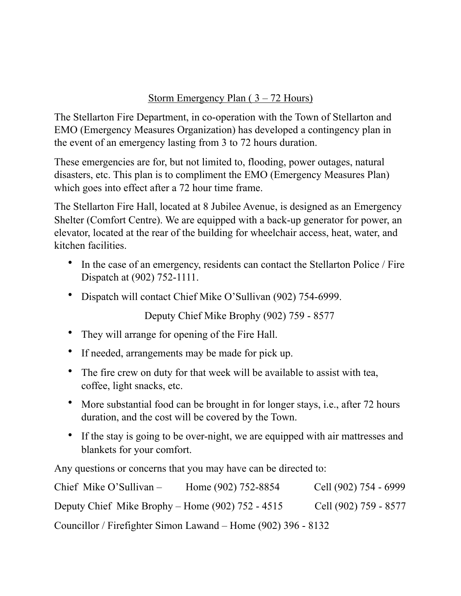## Storm Emergency Plan ( 3 – 72 Hours)

The Stellarton Fire Department, in co-operation with the Town of Stellarton and EMO (Emergency Measures Organization) has developed a contingency plan in the event of an emergency lasting from 3 to 72 hours duration.

These emergencies are for, but not limited to, flooding, power outages, natural disasters, etc. This plan is to compliment the EMO (Emergency Measures Plan) which goes into effect after a 72 hour time frame.

The Stellarton Fire Hall, located at 8 Jubilee Avenue, is designed as an Emergency Shelter (Comfort Centre). We are equipped with a back-up generator for power, an elevator, located at the rear of the building for wheelchair access, heat, water, and kitchen facilities.

- In the case of an emergency, residents can contact the Stellarton Police / Fire Dispatch at (902) 752-1111.
- Dispatch will contact Chief Mike O'Sullivan (902) 754-6999.

Deputy Chief Mike Brophy (902) 759 - 8577

- They will arrange for opening of the Fire Hall.
- If needed, arrangements may be made for pick up.
- The fire crew on duty for that week will be available to assist with tea, coffee, light snacks, etc.
- More substantial food can be brought in for longer stays, i.e., after 72 hours duration, and the cost will be covered by the Town.
- If the stay is going to be over-night, we are equipped with air mattresses and blankets for your comfort.

Any questions or concerns that you may have can be directed to:

| Chief Mike O'Sullivan $-$                                     | Home (902) 752-8854 | Cell (902) 754 - 6999 |
|---------------------------------------------------------------|---------------------|-----------------------|
| Deputy Chief Mike Brophy – Home $(902)$ 752 - 4515            |                     | Cell (902) 759 - 8577 |
| Councillor / Firefighter Simon Lawand – Home (902) 396 - 8132 |                     |                       |